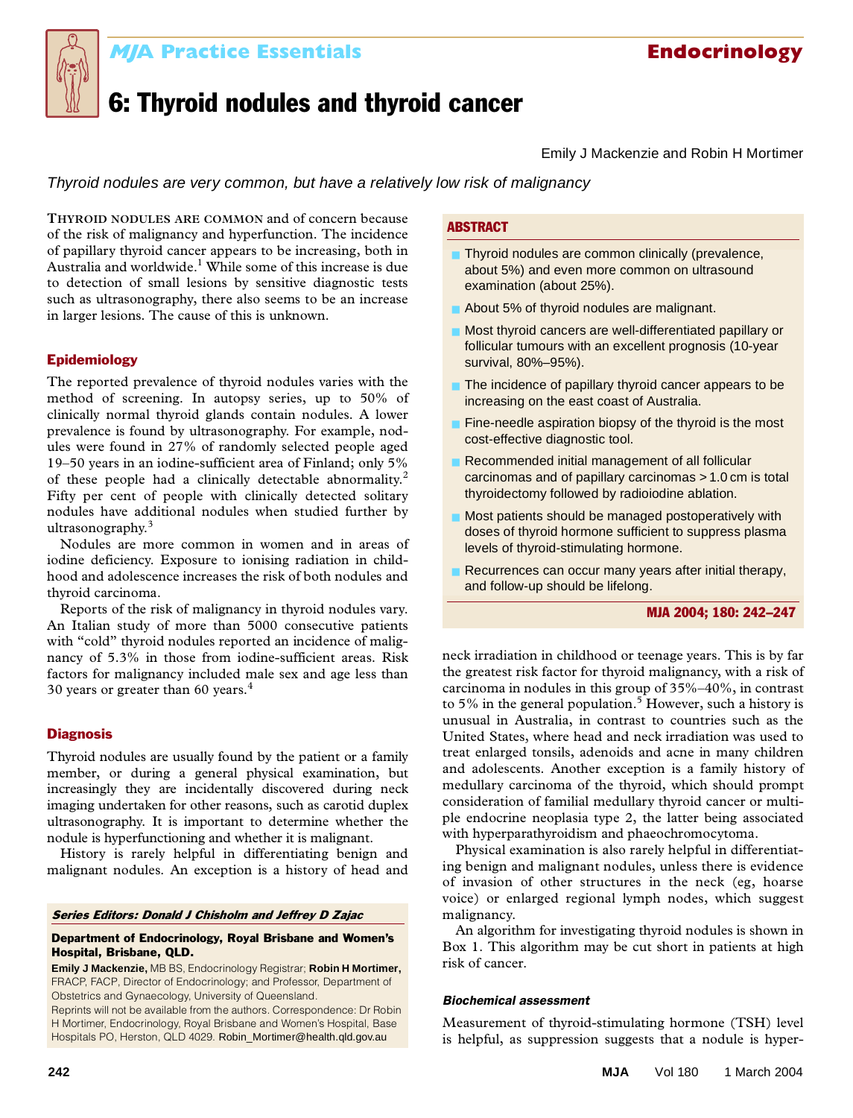

## **Endocrinology MJA Practice Essentials MJA Practice Essentials Endocrinology**

# 6: Thyroid nodules and thyroid cancer

Emily J Mackenzie and Robin H Mortimer

Thyroid nodules are very common, but have a relatively low risk of malignancy

The Medical Australia and worldwide. While some of this increase is due<br>to detection of small lesions by sensitive diagnostic tests  $\ldots$ such as ultrasonography, there also seems to be an increase in larger lesions. The cause of this is unknown. **THYROID NODULES ARE COMMON** and of concern because of the risk of malignancy and hyperfunction. The incidence of papillary thyroid cancer appears to be increasing, both in Australia and worldwide.<sup>1</sup> While some of this increase is due

#### Epidemiology

The reported prevalence of thyroid nodules varies with the method of screening. In autopsy series, up to 50% of clinically normal thyroid glands contain nodules. A lower prevalence is found by ultrasonography. For example, nodules were found in 27% of randomly selected people aged 19–50 years in an iodine-sufficient area of Finland; only 5% of these people had a clinically detectable abnormality.<sup>2</sup> Fifty per cent of people with clinically detected solitary nodules have additional nodules when studied further by ultrasonography.<sup>3</sup>

Nodules are more common in women and in areas of iodine deficiency. Exposure to ionising radiation in childhood and adolescence increases the risk of both nodules and thyroid carcinoma.

Reports of the risk of malignancy in thyroid nodules vary. An Italian study of more than 5000 consecutive patients with "cold" thyroid nodules reported an incidence of malignancy of 5.3% in those from iodine-sufficient areas. Risk factors for malignancy included male sex and age less than 30 years or greater than 60 years.<sup>4</sup>

#### **Diagnosis**

Thyroid nodules are usually found by the patient or a family member, or during a general physical examination, but increasingly they are incidentally discovered during neck imaging undertaken for other reasons, such as carotid duplex ultrasonography. It is important to determine whether the nodule is hyperfunctioning and whether it is malignant.

History is rarely helpful in differentiating benign and malignant nodules. An exception is a history of head and

#### Series Editors: Donald J Chisholm and Jeffrey D Zajac

#### Department of Endocrinology, Royal Brisbane and Women's Hospital, Brisbane, QLD.

**Emily J Mackenzie,** MB BS, Endocrinology Registrar; **Robin H Mortimer,**  FRACP, FACP, Director of Endocrinology; and Professor, Department of Obstetrics and Gynaecology, University of Queensland.

Reprints will not be available from the authors. Correspondence: Dr Robin H Mortimer, Endocrinology, Royal Brisbane and Women's Hospital, Base Hospitals PO, Herston, QLD 4029. Robin\_Mortimer@health.qld.gov.au

#### **ABSTRACT**

- Thyroid nodules are common clinically (prevalence, about 5%) and even more common on ultrasound examination (about 25%).
- About 5% of thyroid nodules are malignant.
- Most thyroid cancers are well-differentiated papillary or follicular tumours with an excellent prognosis (10-year survival, 80%–95%).
- The incidence of papillary thyroid cancer appears to be increasing on the east coast of Australia.
- Fine-needle aspiration biopsy of the thyroid is the most cost-effective diagnostic tool.
- Recommended initial management of all follicular carcinomas and of papillary carcinomas > 1.0 cm is total thyroidectomy followed by radioiodine ablation.
- Most patients should be managed postoperatively with doses of thyroid hormone sufficient to suppress plasma levels of thyroid-stimulating hormone.
- Recurrences can occur many years after initial therapy, and follow-up should be lifelong.

#### MJA 2004; 180: 242–247

neck irradiation in childhood or teenage years. This is by far the greatest risk factor for thyroid malignancy, with a risk of carcinoma in nodules in this group of 35%–40%, in contrast to 5% in the general population.<sup>5</sup> However, such a history is unusual in Australia, in contrast to countries such as the United States, where head and neck irradiation was used to treat enlarged tonsils, adenoids and acne in many children and adolescents. Another exception is a family history of medullary carcinoma of the thyroid, which should prompt consideration of familial medullary thyroid cancer or multiple endocrine neoplasia type 2, the latter being associated with hyperparathyroidism and phaeochromocytoma.

Physical examination is also rarely helpful in differentiating benign and malignant nodules, unless there is evidence of invasion of other structures in the neck (eg, hoarse voice) or enlarged regional lymph nodes, which suggest malignancy.

An algorithm for investigating thyroid nodules is shown in Box 1. This algorithm may be cut short in patients at high risk of cancer.

### *Biochemical assessment*

Measurement of thyroid-stimulating hormone (TSH) level is helpful, as suppression suggests that a nodule is hyper-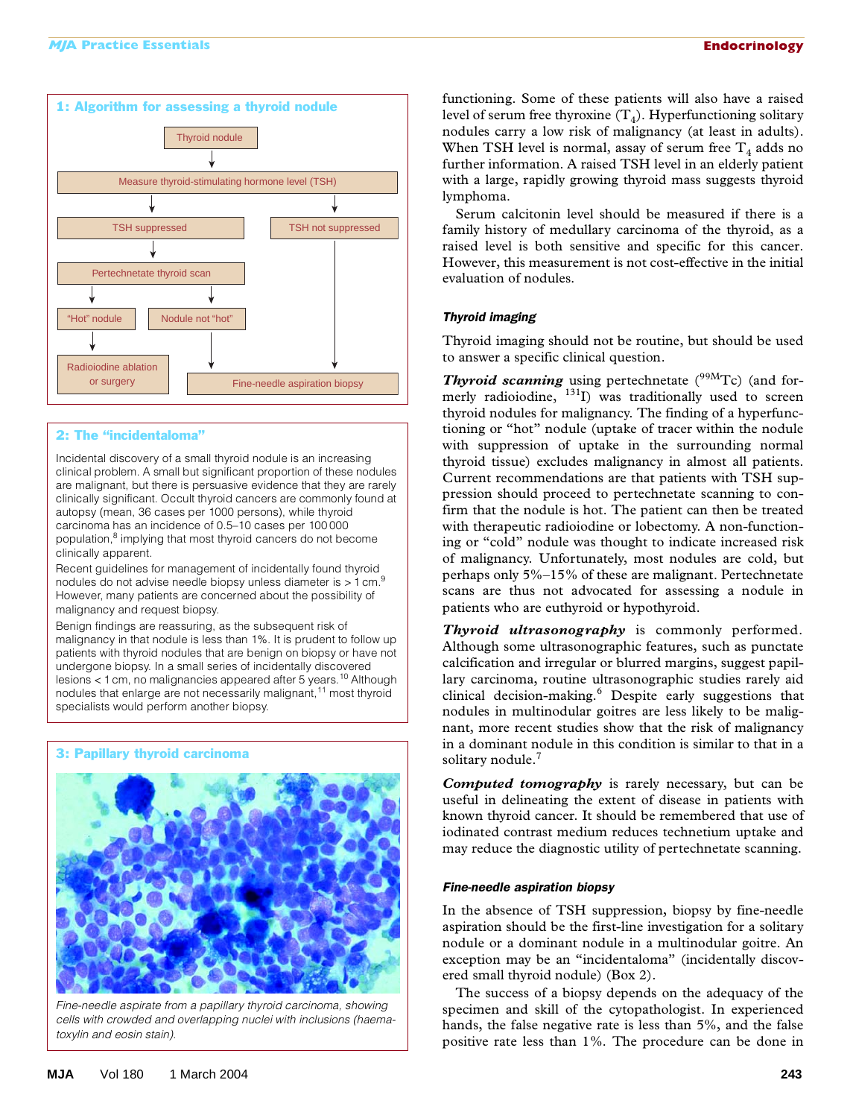

#### 2: The "incidentaloma"

Incidental discovery of a small thyroid nodule is an increasing clinical problem. A small but significant proportion of these nodules are malignant, but there is persuasive evidence that they are rarely clinically significant. Occult thyroid cancers are commonly found at autopsy (mean, 36 cases per 1000 persons), while thyroid carcinoma has an incidence of 0.5–10 cases per 100 000 population,<sup>8</sup> implying that most thyroid cancers do not become clinically apparent.

Recent guidelines for management of incidentally found thyroid nodules do not advise needle biopsy unless diameter is  $> 1$  cm.<sup>9</sup> However, many patients are concerned about the possibility of malignancy and request biopsy.

Benign findings are reassuring, as the subsequent risk of malignancy in that nodule is less than 1%. It is prudent to follow up patients with thyroid nodules that are benign on biopsy or have not undergone biopsy. In a small series of incidentally discovered lesions < 1 cm, no malignancies appeared after 5 years.10 Although nodules that enlarge are not necessarily malignant,<sup>11</sup> most thyroid specialists would perform another biopsy.

#### 3: Papillary thyroid carcinoma



*Fine-needle aspirate from a papillary thyroid carcinoma, showing cells with crowded and overlapping nuclei with inclusions (haematoxylin and eosin stain).*

functioning. Some of these patients will also have a raised level of serum free thyroxine  $(T_4)$ . Hyperfunctioning solitary nodules carry a low risk of malignancy (at least in adults). When TSH level is normal, assay of serum free  $T<sub>4</sub>$  adds no further information. A raised TSH level in an elderly patient with a large, rapidly growing thyroid mass suggests thyroid lymphoma.

Serum calcitonin level should be measured if there is a family history of medullary carcinoma of the thyroid, as a raised level is both sensitive and specific for this cancer. However, this measurement is not cost-effective in the initial evaluation of nodules.

#### *Thyroid imaging*

Thyroid imaging should not be routine, but should be used to answer a specific clinical question.

**Thyroid scanning** using pertechnetate (<sup>99M</sup>Tc) (and formerly radioiodine, <sup>131</sup>I) was traditionally used to screen thyroid nodules for malignancy. The finding of a hyperfunctioning or "hot" nodule (uptake of tracer within the nodule with suppression of uptake in the surrounding normal thyroid tissue) excludes malignancy in almost all patients. Current recommendations are that patients with TSH suppression should proceed to pertechnetate scanning to confirm that the nodule is hot. The patient can then be treated with therapeutic radioiodine or lobectomy. A non-functioning or "cold" nodule was thought to indicate increased risk of malignancy. Unfortunately, most nodules are cold, but perhaps only 5%–15% of these are malignant. Pertechnetate scans are thus not advocated for assessing a nodule in patients who are euthyroid or hypothyroid.

*Thyroid ultrasonography* is commonly performed. Although some ultrasonographic features, such as punctate calcification and irregular or blurred margins, suggest papillary carcinoma, routine ultrasonographic studies rarely aid clinical decision-making.<sup>6</sup> Despite early suggestions that nodules in multinodular goitres are less likely to be malignant, more recent studies show that the risk of malignancy in a dominant nodule in this condition is similar to that in a solitary nodule.<sup>7</sup>

*Computed tomography* is rarely necessary, but can be useful in delineating the extent of disease in patients with known thyroid cancer. It should be remembered that use of iodinated contrast medium reduces technetium uptake and may reduce the diagnostic utility of pertechnetate scanning.

#### *Fine-needle aspiration biopsy*

In the absence of TSH suppression, biopsy by fine-needle aspiration should be the first-line investigation for a solitary nodule or a dominant nodule in a multinodular goitre. An exception may be an "incidentaloma" (incidentally discovered small thyroid nodule) (Box 2).

The success of a biopsy depends on the adequacy of the specimen and skill of the cytopathologist. In experienced hands, the false negative rate is less than 5%, and the false positive rate less than 1%. The procedure can be done in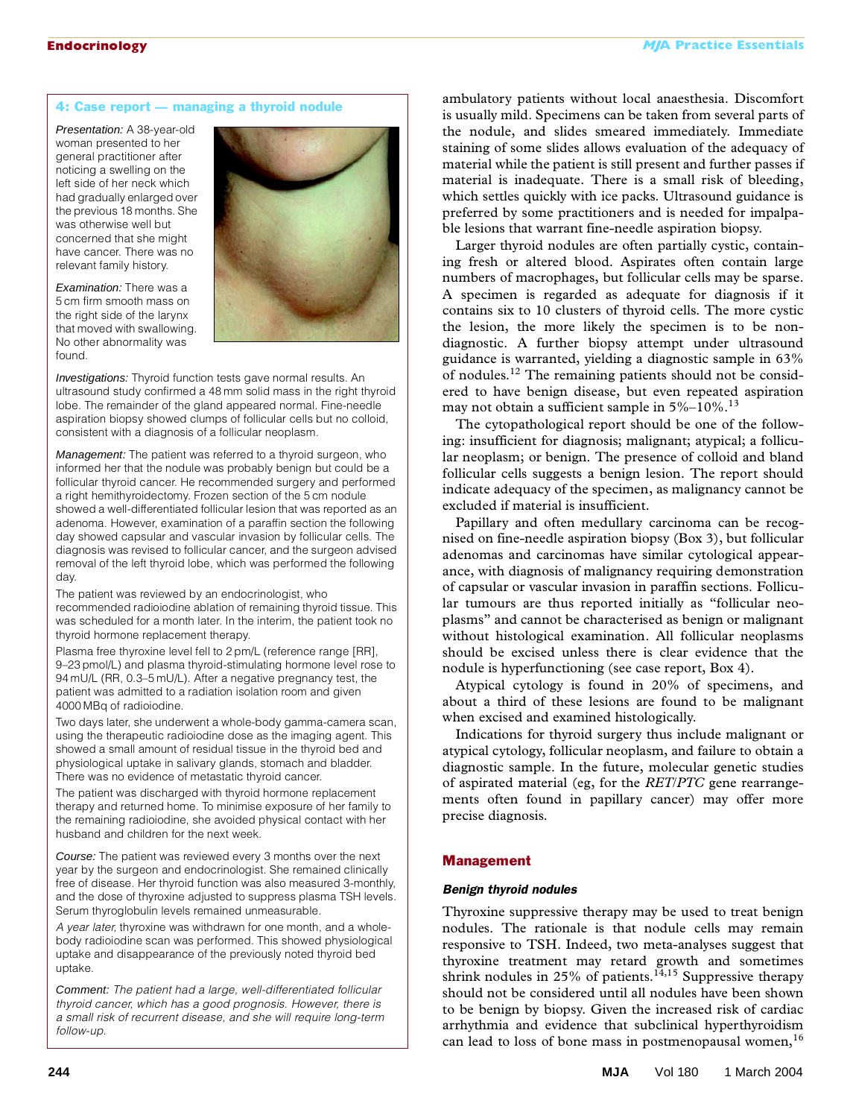#### 4: Case report — managing a thyroid nodule

Presentation: A 38-year-old woman presented to her general practitioner after noticing a swelling on the left side of her neck which had gradually enlarged over the previous 18 months. She was otherwise well but concerned that she might have cancer. There was no relevant family history.



Examination: There was a 5 cm firm smooth mass on the right side of the larynx that moved with swallowing. No other abnormality was found.

**Investigations:** Thyroid function tests gave normal results. An ultrasound study confirmed a 48 mm solid mass in the right thyroid lobe. The remainder of the gland appeared normal. Fine-needle aspiration biopsy showed clumps of follicular cells but no colloid, consistent with a diagnosis of a follicular neoplasm.

Management: The patient was referred to a thyroid surgeon, who informed her that the nodule was probably benign but could be a follicular thyroid cancer. He recommended surgery and performed a right hemithyroidectomy. Frozen section of the 5 cm nodule showed a well-differentiated follicular lesion that was reported as an adenoma. However, examination of a paraffin section the following day showed capsular and vascular invasion by follicular cells. The diagnosis was revised to follicular cancer, and the surgeon advised removal of the left thyroid lobe, which was performed the following day.

The patient was reviewed by an endocrinologist, who recommended radioiodine ablation of remaining thyroid tissue. This was scheduled for a month later. In the interim, the patient took no thyroid hormone replacement therapy.

Plasma free thyroxine level fell to 2 pm/L (reference range [RR], 9–23 pmol/L) and plasma thyroid-stimulating hormone level rose to 94 mU/L (RR, 0.3–5 mU/L). After a negative pregnancy test, the patient was admitted to a radiation isolation room and given 4000 MBq of radioiodine.

Two days later, she underwent a whole-body gamma-camera scan, using the therapeutic radioiodine dose as the imaging agent. This showed a small amount of residual tissue in the thyroid bed and physiological uptake in salivary glands, stomach and bladder. There was no evidence of metastatic thyroid cancer.

The patient was discharged with thyroid hormone replacement therapy and returned home. To minimise exposure of her family to the remaining radioiodine, she avoided physical contact with her husband and children for the next week.

Course: The patient was reviewed every 3 months over the next year by the surgeon and endocrinologist. She remained clinically free of disease. Her thyroid function was also measured 3-monthly, and the dose of thyroxine adjusted to suppress plasma TSH levels. Serum thyroglobulin levels remained unmeasurable.

*A year later,* thyroxine was withdrawn for one month, and a wholebody radioiodine scan was performed. This showed physiological uptake and disappearance of the previously noted thyroid bed uptake.

Comment: *The patient had a large, well-differentiated follicular thyroid cancer, which has a good prognosis. However, there is a small risk of recurrent disease, and she will require long-term follow-up.*

ambulatory patients without local anaesthesia. Discomfort is usually mild. Specimens can be taken from several parts of the nodule, and slides smeared immediately. Immediate staining of some slides allows evaluation of the adequacy of material while the patient is still present and further passes if material is inadequate. There is a small risk of bleeding, which settles quickly with ice packs. Ultrasound guidance is preferred by some practitioners and is needed for impalpable lesions that warrant fine-needle aspiration biopsy.

Larger thyroid nodules are often partially cystic, containing fresh or altered blood. Aspirates often contain large numbers of macrophages, but follicular cells may be sparse. A specimen is regarded as adequate for diagnosis if it contains six to 10 clusters of thyroid cells. The more cystic the lesion, the more likely the specimen is to be nondiagnostic. A further biopsy attempt under ultrasound guidance is warranted, yielding a diagnostic sample in 63% of nodules.<sup>12</sup> The remaining patients should not be considered to have benign disease, but even repeated aspiration may not obtain a sufficient sample in  $5\%$ –10%.<sup>13</sup>

The cytopathological report should be one of the following: insufficient for diagnosis; malignant; atypical; a follicular neoplasm; or benign. The presence of colloid and bland follicular cells suggests a benign lesion. The report should indicate adequacy of the specimen, as malignancy cannot be excluded if material is insufficient.

Papillary and often medullary carcinoma can be recognised on fine-needle aspiration biopsy (Box 3), but follicular adenomas and carcinomas have similar cytological appearance, with diagnosis of malignancy requiring demonstration of capsular or vascular invasion in paraffin sections. Follicular tumours are thus reported initially as "follicular neoplasms" and cannot be characterised as benign or malignant without histological examination. All follicular neoplasms should be excised unless there is clear evidence that the nodule is hyperfunctioning (see case report, Box 4).

Atypical cytology is found in 20% of specimens, and about a third of these lesions are found to be malignant when excised and examined histologically.

Indications for thyroid surgery thus include malignant or atypical cytology, follicular neoplasm, and failure to obtain a diagnostic sample. In the future, molecular genetic studies of aspirated material (eg, for the *RET*/*PTC* gene rearrangements often found in papillary cancer) may offer more precise diagnosis.

#### Management

#### *Benign thyroid nodules*

Thyroxine suppressive therapy may be used to treat benign nodules. The rationale is that nodule cells may remain responsive to TSH. Indeed, two meta-analyses suggest that thyroxine treatment may retard growth and sometimes shrink nodules in 25% of patients.<sup>14,15</sup> Suppressive therapy should not be considered until all nodules have been shown to be benign by biopsy. Given the increased risk of cardiac arrhythmia and evidence that subclinical hyperthyroidism can lead to loss of bone mass in postmenopausal women,<sup>16</sup>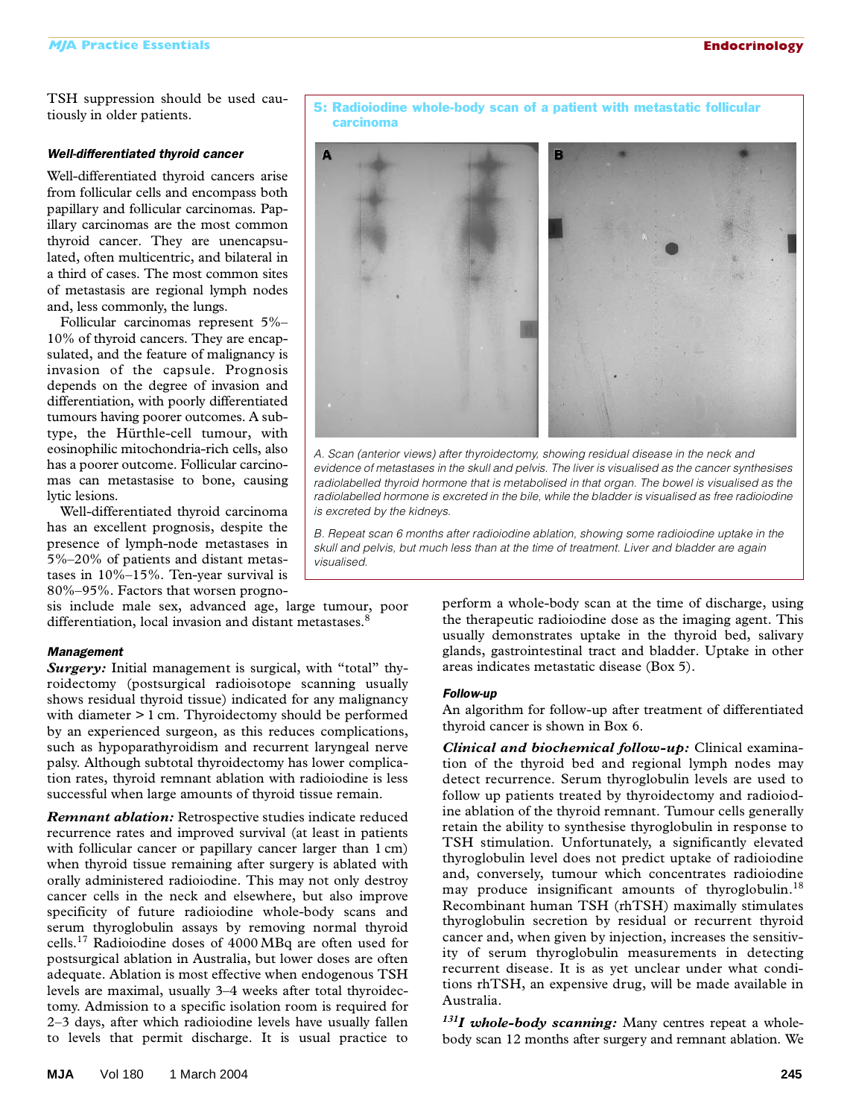TSH suppression should be used cautiously in older patients.

#### *Well-differentiated thyroid cancer*

Well-differentiated thyroid cancers arise from follicular cells and encompass both papillary and follicular carcinomas. Papillary carcinomas are the most common thyroid cancer. They are unencapsulated, often multicentric, and bilateral in a third of cases. The most common sites of metastasis are regional lymph nodes and, less commonly, the lungs.

Follicular carcinomas represent 5%– 10% of thyroid cancers. They are encapsulated, and the feature of malignancy is invasion of the capsule. Prognosis depends on the degree of invasion and differentiation, with poorly differentiated tumours having poorer outcomes. A subtype, the Hürthle-cell tumour, with eosinophilic mitochondria-rich cells, also has a poorer outcome. Follicular carcinomas can metastasise to bone, causing lytic lesions.

Well-differentiated thyroid carcinoma has an excellent prognosis, despite the presence of lymph-node metastases in 5%–20% of patients and distant metastases in 10%–15%. Ten-year survival is 80%–95%. Factors that worsen progno-

sis include male sex, advanced age, large tumour, poor differentiation, local invasion and distant metastases.<sup>8</sup>

#### *Management*

Surgery: Initial management is surgical, with "total" thyroidectomy (postsurgical radioisotope scanning usually shows residual thyroid tissue) indicated for any malignancy with diameter > 1 cm. Thyroidectomy should be performed by an experienced surgeon, as this reduces complications, such as hypoparathyroidism and recurrent laryngeal nerve palsy. Although subtotal thyroidectomy has lower complication rates, thyroid remnant ablation with radioiodine is less successful when large amounts of thyroid tissue remain.

*Remnant ablation:* Retrospective studies indicate reduced recurrence rates and improved survival (at least in patients with follicular cancer or papillary cancer larger than 1 cm) when thyroid tissue remaining after surgery is ablated with orally administered radioiodine. This may not only destroy cancer cells in the neck and elsewhere, but also improve specificity of future radioiodine whole-body scans and serum thyroglobulin assays by removing normal thyroid cells.17 Radioiodine doses of 4000 MBq are often used for postsurgical ablation in Australia, but lower doses are often adequate. Ablation is most effective when endogenous TSH levels are maximal, usually 3–4 weeks after total thyroidectomy. Admission to a specific isolation room is required for 2–3 days, after which radioiodine levels have usually fallen to levels that permit discharge. It is usual practice to

perform a whole-body scan at the time of discharge, using the therapeutic radioiodine dose as the imaging agent. This usually demonstrates uptake in the thyroid bed, salivary glands, gastrointestinal tract and bladder. Uptake in other areas indicates metastatic disease (Box 5).

#### *Follow-up*

An algorithm for follow-up after treatment of differentiated thyroid cancer is shown in Box 6.

*Clinical and biochemical follow-up:* Clinical examination of the thyroid bed and regional lymph nodes may detect recurrence. Serum thyroglobulin levels are used to follow up patients treated by thyroidectomy and radioiodine ablation of the thyroid remnant. Tumour cells generally retain the ability to synthesise thyroglobulin in response to TSH stimulation. Unfortunately, a significantly elevated thyroglobulin level does not predict uptake of radioiodine and, conversely, tumour which concentrates radioiodine may produce insignificant amounts of thyroglobulin.<sup>18</sup> Recombinant human TSH (rhTSH) maximally stimulates thyroglobulin secretion by residual or recurrent thyroid cancer and, when given by injection, increases the sensitivity of serum thyroglobulin measurements in detecting recurrent disease. It is as yet unclear under what conditions rhTSH, an expensive drug, will be made available in Australia.

*131I whole-body scanning:* Many centres repeat a wholebody scan 12 months after surgery and remnant ablation. We



5: Radioiodine whole-body scan of a patient with metastatic follicular

carcinoma

*A. Scan (anterior views) after thyroidectomy, showing residual disease in the neck and evidence of metastases in the skull and pelvis. The liver is visualised as the cancer synthesises*  radiolabelled thyroid hormone that is metabolised in that organ. The bowel is visualised as the *radiolabelled hormone is excreted in the bile, while the bladder is visualised as free radioiodine is excreted by the kidneys.* 

*B. Repeat scan 6 months after radioiodine ablation, showing some radioiodine uptake in the skull and pelvis, but much less than at the time of treatment. Liver and bladder are again visualised.*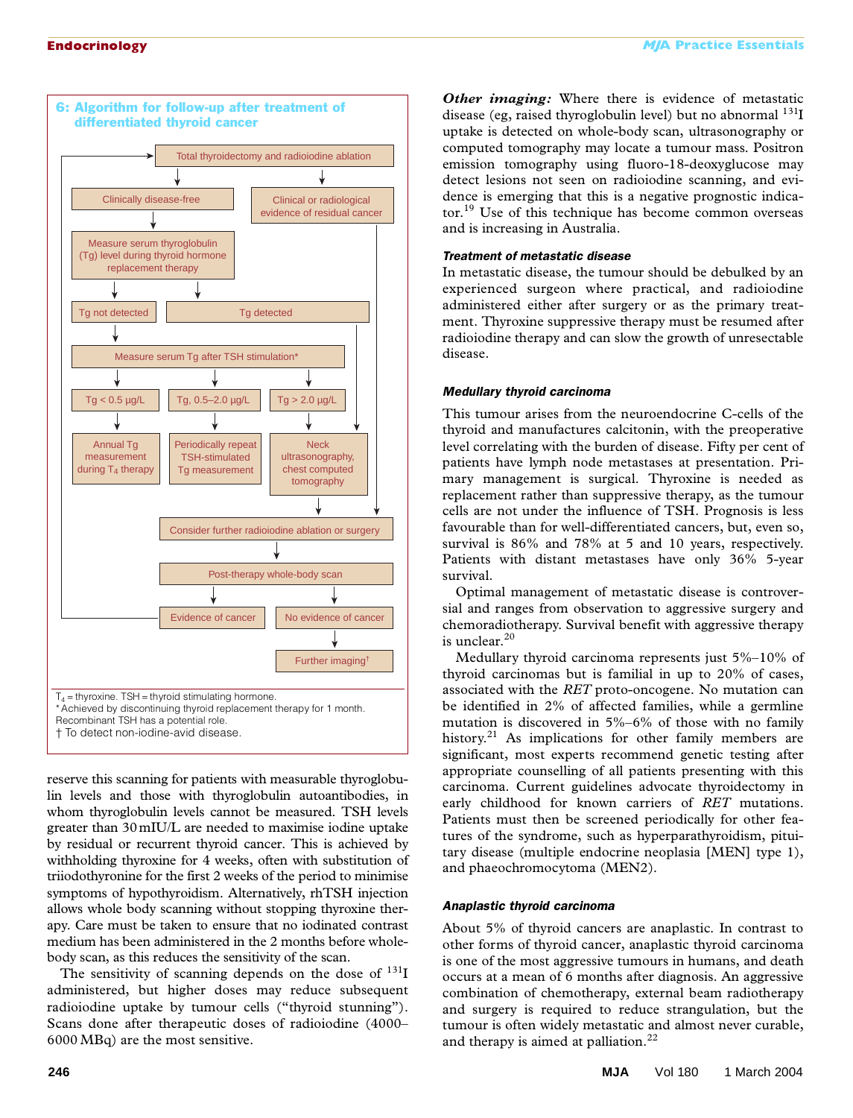

reserve this scanning for patients with measurable thyroglobulin levels and those with thyroglobulin autoantibodies, in whom thyroglobulin levels cannot be measured. TSH levels greater than 30mIU/L are needed to maximise iodine uptake by residual or recurrent thyroid cancer. This is achieved by withholding thyroxine for 4 weeks, often with substitution of triiodothyronine for the first 2 weeks of the period to minimise symptoms of hypothyroidism. Alternatively, rhTSH injection allows whole body scanning without stopping thyroxine therapy. Care must be taken to ensure that no iodinated contrast medium has been administered in the 2 months before wholebody scan, as this reduces the sensitivity of the scan.

The sensitivity of scanning depends on the dose of  $^{131}I$ administered, but higher doses may reduce subsequent radioiodine uptake by tumour cells ("thyroid stunning"). Scans done after therapeutic doses of radioiodine (4000– 6000 MBq) are the most sensitive.

*Other imaging:* Where there is evidence of metastatic disease (eg, raised thyroglobulin level) but no abnormal <sup>131</sup>I uptake is detected on whole-body scan, ultrasonography or computed tomography may locate a tumour mass. Positron emission tomography using fluoro-18-deoxyglucose may detect lesions not seen on radioiodine scanning, and evidence is emerging that this is a negative prognostic indicator.<sup>19</sup> Use of this technique has become common overseas and is increasing in Australia.

#### *Treatment of metastatic disease*

In metastatic disease, the tumour should be debulked by an experienced surgeon where practical, and radioiodine administered either after surgery or as the primary treatment. Thyroxine suppressive therapy must be resumed after radioiodine therapy and can slow the growth of unresectable disease.

#### *Medullary thyroid carcinoma*

This tumour arises from the neuroendocrine C-cells of the thyroid and manufactures calcitonin, with the preoperative level correlating with the burden of disease. Fifty per cent of patients have lymph node metastases at presentation. Primary management is surgical. Thyroxine is needed as replacement rather than suppressive therapy, as the tumour cells are not under the influence of TSH. Prognosis is less favourable than for well-differentiated cancers, but, even so, survival is 86% and 78% at 5 and 10 years, respectively. Patients with distant metastases have only 36% 5-year survival.

Optimal management of metastatic disease is controversial and ranges from observation to aggressive surgery and chemoradiotherapy. Survival benefit with aggressive therapy is unclear.  $\rm ^{20}$ 

Medullary thyroid carcinoma represents just 5%–10% of thyroid carcinomas but is familial in up to 20% of cases, associated with the *RET* proto-oncogene. No mutation can be identified in 2% of affected families, while a germline mutation is discovered in 5%–6% of those with no family history.<sup>21</sup> As implications for other family members are significant, most experts recommend genetic testing after appropriate counselling of all patients presenting with this carcinoma. Current guidelines advocate thyroidectomy in early childhood for known carriers of *RET* mutations. Patients must then be screened periodically for other features of the syndrome, such as hyperparathyroidism, pituitary disease (multiple endocrine neoplasia [MEN] type 1), and phaeochromocytoma (MEN2).

#### *Anaplastic thyroid carcinoma*

About 5% of thyroid cancers are anaplastic. In contrast to other forms of thyroid cancer, anaplastic thyroid carcinoma is one of the most aggressive tumours in humans, and death occurs at a mean of 6 months after diagnosis. An aggressive combination of chemotherapy, external beam radiotherapy and surgery is required to reduce strangulation, but the tumour is often widely metastatic and almost never curable, and therapy is aimed at palliation.<sup>22</sup>